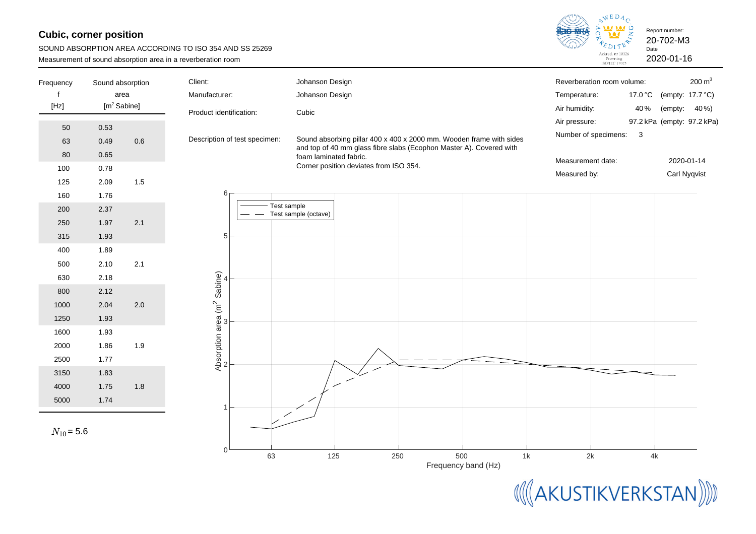## **Cubic, corner position**

| SOUND ABSORPTION AREA ACCORDING TO ISO 354 AND SS 25269      |
|--------------------------------------------------------------|
| Measurement of sound absorption area in a reverberation room |



| Frequency      | Sound absorption |         | Client:                                 | Johanson Design        |                                        |     |                                                                     | Reverberation room volume: |         | $200 \text{ m}^3$          |
|----------------|------------------|---------|-----------------------------------------|------------------------|----------------------------------------|-----|---------------------------------------------------------------------|----------------------------|---------|----------------------------|
|                | area             |         | Manufacturer:                           | Johanson Design        |                                        |     |                                                                     | Temperature:               | 17.0 °C | (empty: 17.7 °C)           |
| [Hz]           | $[m^2$ Sabine]   |         | Product identification:                 | Cubic                  |                                        |     |                                                                     | Air humidity:              | 40%     | 40%)<br>(empty:            |
| 50             | 0.53             |         |                                         |                        |                                        |     |                                                                     | Air pressure:              |         | 97.2 kPa (empty: 97.2 kPa) |
| 63             | 0.49             | $0.6\,$ | Description of test specimen:           |                        |                                        |     | Sound absorbing pillar 400 x 400 x 2000 mm. Wooden frame with sides | Number of specimens:       | 3       |                            |
| 80             | 0.65             |         |                                         |                        |                                        |     | and top of 40 mm glass fibre slabs (Ecophon Master A). Covered with |                            |         |                            |
| 100            | 0.78             |         |                                         | foam laminated fabric. | Corner position deviates from ISO 354. |     |                                                                     | Measurement date:          |         | 2020-01-14                 |
|                | 2.09             | 1.5     |                                         |                        |                                        |     |                                                                     | Measured by:               |         | Carl Nyqvist               |
| 125            |                  |         | 6                                       |                        |                                        |     |                                                                     |                            |         |                            |
| 160            | 1.76             |         |                                         | Test sample            |                                        |     |                                                                     |                            |         |                            |
| 200            | 2.37             |         |                                         | Test sample (octave)   |                                        |     |                                                                     |                            |         |                            |
| 250            | 1.97             | 2.1     |                                         |                        |                                        |     |                                                                     |                            |         |                            |
| 315            | 1.93             |         | 5                                       |                        |                                        |     |                                                                     |                            |         |                            |
| 400            | 1.89             |         |                                         |                        |                                        |     |                                                                     |                            |         |                            |
| 500            | 2.10             | 2.1     |                                         |                        |                                        |     |                                                                     |                            |         |                            |
| 630            | 2.18             |         |                                         |                        |                                        |     |                                                                     |                            |         |                            |
| 800            | 2.12             |         |                                         |                        |                                        |     |                                                                     |                            |         |                            |
| 1000           | 2.04             | $2.0\,$ |                                         |                        |                                        |     |                                                                     |                            |         |                            |
| 1250           | 1.93             |         |                                         |                        |                                        |     |                                                                     |                            |         |                            |
| 1600           | 1.93             |         | Absorption area (m <sup>2</sup> Sabine) |                        |                                        |     |                                                                     |                            |         |                            |
| 2000           | 1.86             | 1.9     |                                         |                        |                                        |     |                                                                     |                            |         |                            |
| 2500           | 1.77             |         |                                         |                        |                                        |     |                                                                     |                            |         |                            |
| 3150           | 1.83             |         |                                         |                        |                                        |     |                                                                     |                            |         |                            |
| 4000           | 1.75             | $1.8$   |                                         |                        |                                        |     |                                                                     |                            |         |                            |
| 5000           | 1.74             |         |                                         |                        |                                        |     |                                                                     |                            |         |                            |
|                |                  |         |                                         |                        |                                        |     |                                                                     |                            |         |                            |
| $N_{10}$ = 5.6 |                  |         |                                         |                        |                                        |     |                                                                     |                            |         |                            |
|                |                  |         |                                         |                        |                                        |     |                                                                     |                            |         |                            |
|                |                  |         | 63                                      | 125                    |                                        | 250 | 500<br>1k                                                           | 2k                         | 4k      |                            |
|                |                  |         |                                         |                        |                                        |     | Frequency band (Hz)                                                 |                            |         |                            |

**MAKUSTIKVERKSTAN)**